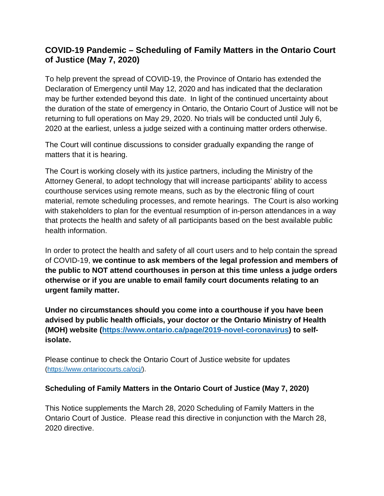## **COVID-19 Pandemic – Scheduling of Family Matters in the Ontario Court of Justice (May 7, 2020)**

To help prevent the spread of COVID-19, the Province of Ontario has extended the Declaration of Emergency until May 12, 2020 and has indicated that the declaration may be further extended beyond this date. In light of the continued uncertainty about the duration of the state of emergency in Ontario, the Ontario Court of Justice will not be returning to full operations on May 29, 2020. No trials will be conducted until July 6, 2020 at the earliest, unless a judge seized with a continuing matter orders otherwise.

The Court will continue discussions to consider gradually expanding the range of matters that it is hearing.

The Court is working closely with its justice partners, including the Ministry of the Attorney General, to adopt technology that will increase participants' ability to access courthouse services using remote means, such as by the electronic filing of court material, remote scheduling processes, and remote hearings. The Court is also working with stakeholders to plan for the eventual resumption of in-person attendances in a way that protects the health and safety of all participants based on the best available public health information.

In order to protect the health and safety of all court users and to help contain the spread of COVID-19, **we continue to ask members of the legal profession and members of the public to NOT attend courthouses in person at this time unless a judge orders otherwise or if you are unable to email family court documents relating to an urgent family matter.**

**Under no circumstances should you come into a courthouse if you have been advised by public health officials, your doctor or the Ontario Ministry of Health (MOH) website [\(https://www.ontario.ca/page/2019-novel-coronavirus\)](https://www.ontario.ca/page/2019-novel-coronavirus) to selfisolate.**

Please continue to check the Ontario Court of Justice website for updates [\(https://www.ontariocourts.ca/ocj/\)](https://www.ontariocourts.ca/ocj/).

## **Scheduling of Family Matters in the Ontario Court of Justice (May 7, 2020)**

This Notice supplements the March 28, 2020 Scheduling of Family Matters in the Ontario Court of Justice. Please read this directive in conjunction with the March 28, 2020 directive.